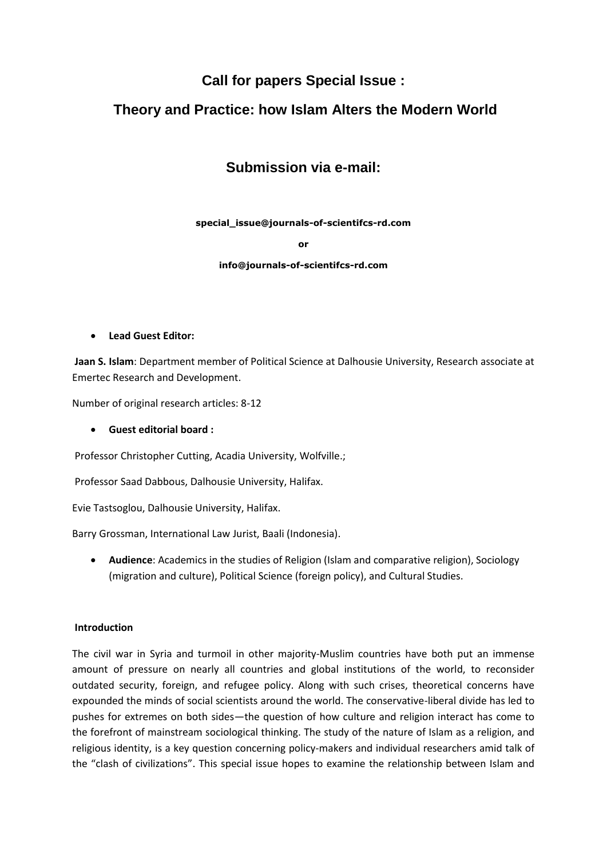# **Call for papers Special Issue :**

# **Theory and Practice: how Islam Alters the Modern World**

# **Submission via e-mail:**

**special\_issue@journals-of-scientifcs-rd.com**

**or**

### **info@journals-of-scientifcs-rd.com**

**Lead Guest Editor:**

**Jaan S. Islam**: Department member of Political Science at Dalhousie University, Research associate at Emertec Research and Development.

Number of original research articles: 8-12

**Guest editorial board :**

Professor Christopher Cutting, Acadia University, Wolfville.;

Professor Saad Dabbous, Dalhousie University, Halifax.

Evie Tastsoglou, Dalhousie University, Halifax.

Barry Grossman, International Law Jurist, Baali (Indonesia).

 **Audience**: Academics in the studies of Religion (Islam and comparative religion), Sociology (migration and culture), Political Science (foreign policy), and Cultural Studies.

## **Introduction**

The civil war in Syria and turmoil in other majority-Muslim countries have both put an immense amount of pressure on nearly all countries and global institutions of the world, to reconsider outdated security, foreign, and refugee policy. Along with such crises, theoretical concerns have expounded the minds of social scientists around the world. The conservative-liberal divide has led to pushes for extremes on both sides—the question of how culture and religion interact has come to the forefront of mainstream sociological thinking. The study of the nature of Islam as a religion, and religious identity, is a key question concerning policy-makers and individual researchers amid talk of the "clash of civilizations". This special issue hopes to examine the relationship between Islam and